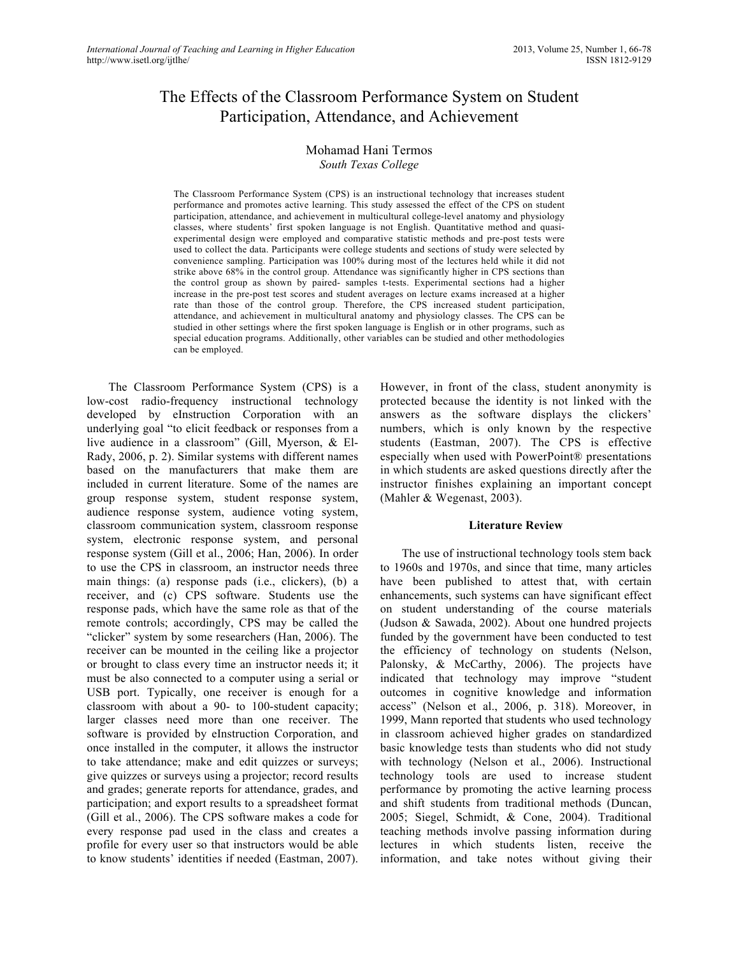# The Effects of the Classroom Performance System on Student Participation, Attendance, and Achievement

## Mohamad Hani Termos *South Texas College*

The Classroom Performance System (CPS) is an instructional technology that increases student performance and promotes active learning. This study assessed the effect of the CPS on student participation, attendance, and achievement in multicultural college-level anatomy and physiology classes, where students' first spoken language is not English. Quantitative method and quasiexperimental design were employed and comparative statistic methods and pre-post tests were used to collect the data. Participants were college students and sections of study were selected by convenience sampling. Participation was 100% during most of the lectures held while it did not strike above 68% in the control group. Attendance was significantly higher in CPS sections than the control group as shown by paired- samples t-tests. Experimental sections had a higher increase in the pre-post test scores and student averages on lecture exams increased at a higher rate than those of the control group. Therefore, the CPS increased student participation, attendance, and achievement in multicultural anatomy and physiology classes. The CPS can be studied in other settings where the first spoken language is English or in other programs, such as special education programs. Additionally, other variables can be studied and other methodologies can be employed.

The Classroom Performance System (CPS) is a low-cost radio-frequency instructional technology developed by eInstruction Corporation with an underlying goal "to elicit feedback or responses from a live audience in a classroom" (Gill, Myerson, & El-Rady, 2006, p. 2). Similar systems with different names based on the manufacturers that make them are included in current literature. Some of the names are group response system, student response system, audience response system, audience voting system, classroom communication system, classroom response system, electronic response system, and personal response system (Gill et al., 2006; Han, 2006). In order to use the CPS in classroom, an instructor needs three main things: (a) response pads (i.e., clickers), (b) a receiver, and (c) CPS software. Students use the response pads, which have the same role as that of the remote controls; accordingly, CPS may be called the "clicker" system by some researchers (Han, 2006). The receiver can be mounted in the ceiling like a projector or brought to class every time an instructor needs it; it must be also connected to a computer using a serial or USB port. Typically, one receiver is enough for a classroom with about a 90- to 100-student capacity; larger classes need more than one receiver. The software is provided by eInstruction Corporation, and once installed in the computer, it allows the instructor to take attendance; make and edit quizzes or surveys; give quizzes or surveys using a projector; record results and grades; generate reports for attendance, grades, and participation; and export results to a spreadsheet format (Gill et al., 2006). The CPS software makes a code for every response pad used in the class and creates a profile for every user so that instructors would be able to know students' identities if needed (Eastman, 2007).

However, in front of the class, student anonymity is protected because the identity is not linked with the answers as the software displays the clickers' numbers, which is only known by the respective students (Eastman, 2007). The CPS is effective especially when used with PowerPoint® presentations in which students are asked questions directly after the instructor finishes explaining an important concept (Mahler & Wegenast, 2003).

#### **Literature Review**

The use of instructional technology tools stem back to 1960s and 1970s, and since that time, many articles have been published to attest that, with certain enhancements, such systems can have significant effect on student understanding of the course materials (Judson & Sawada, 2002). About one hundred projects funded by the government have been conducted to test the efficiency of technology on students (Nelson, Palonsky, & McCarthy, 2006). The projects have indicated that technology may improve "student outcomes in cognitive knowledge and information access" (Nelson et al., 2006, p. 318). Moreover, in 1999, Mann reported that students who used technology in classroom achieved higher grades on standardized basic knowledge tests than students who did not study with technology (Nelson et al., 2006). Instructional technology tools are used to increase student performance by promoting the active learning process and shift students from traditional methods (Duncan, 2005; Siegel, Schmidt, & Cone, 2004). Traditional teaching methods involve passing information during lectures in which students listen, receive the information, and take notes without giving their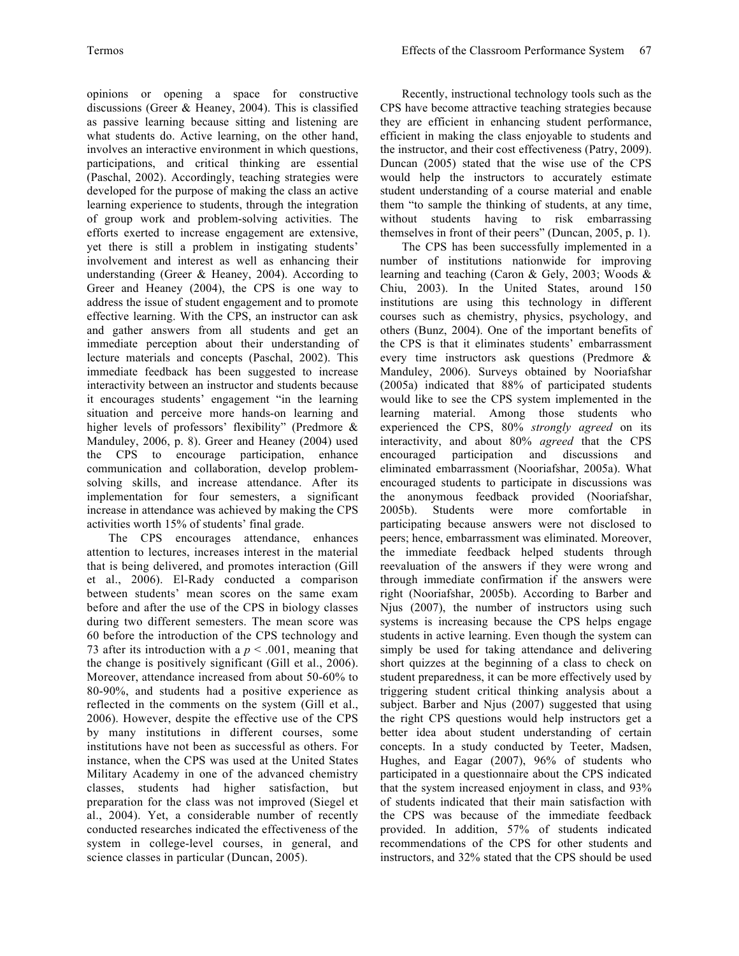opinions or opening a space for constructive discussions (Greer & Heaney, 2004). This is classified as passive learning because sitting and listening are what students do. Active learning, on the other hand, involves an interactive environment in which questions, participations, and critical thinking are essential (Paschal, 2002). Accordingly, teaching strategies were developed for the purpose of making the class an active learning experience to students, through the integration of group work and problem-solving activities. The efforts exerted to increase engagement are extensive, yet there is still a problem in instigating students' involvement and interest as well as enhancing their understanding (Greer & Heaney, 2004). According to Greer and Heaney (2004), the CPS is one way to address the issue of student engagement and to promote effective learning. With the CPS, an instructor can ask and gather answers from all students and get an immediate perception about their understanding of lecture materials and concepts (Paschal, 2002). This immediate feedback has been suggested to increase interactivity between an instructor and students because it encourages students' engagement "in the learning situation and perceive more hands-on learning and higher levels of professors' flexibility" (Predmore & Manduley, 2006, p. 8). Greer and Heaney (2004) used the CPS to encourage participation, enhance communication and collaboration, develop problemsolving skills, and increase attendance. After its implementation for four semesters, a significant increase in attendance was achieved by making the CPS activities worth 15% of students' final grade.

The CPS encourages attendance, enhances attention to lectures, increases interest in the material that is being delivered, and promotes interaction (Gill et al., 2006). El-Rady conducted a comparison between students' mean scores on the same exam before and after the use of the CPS in biology classes during two different semesters. The mean score was 60 before the introduction of the CPS technology and 73 after its introduction with a  $p < .001$ , meaning that the change is positively significant (Gill et al., 2006). Moreover, attendance increased from about 50-60% to 80-90%, and students had a positive experience as reflected in the comments on the system (Gill et al., 2006). However, despite the effective use of the CPS by many institutions in different courses, some institutions have not been as successful as others. For instance, when the CPS was used at the United States Military Academy in one of the advanced chemistry classes, students had higher satisfaction, but preparation for the class was not improved (Siegel et al., 2004). Yet, a considerable number of recently conducted researches indicated the effectiveness of the system in college-level courses, in general, and science classes in particular (Duncan, 2005).

Recently, instructional technology tools such as the CPS have become attractive teaching strategies because they are efficient in enhancing student performance, efficient in making the class enjoyable to students and the instructor, and their cost effectiveness (Patry, 2009). Duncan (2005) stated that the wise use of the CPS would help the instructors to accurately estimate student understanding of a course material and enable them "to sample the thinking of students, at any time, without students having to risk embarrassing themselves in front of their peers" (Duncan, 2005, p. 1).

The CPS has been successfully implemented in a number of institutions nationwide for improving learning and teaching (Caron & Gely, 2003; Woods & Chiu, 2003). In the United States, around 150 institutions are using this technology in different courses such as chemistry, physics, psychology, and others (Bunz, 2004). One of the important benefits of the CPS is that it eliminates students' embarrassment every time instructors ask questions (Predmore & Manduley, 2006). Surveys obtained by Nooriafshar (2005a) indicated that 88% of participated students would like to see the CPS system implemented in the learning material. Among those students who experienced the CPS, 80% *strongly agreed* on its interactivity, and about 80% *agreed* that the CPS encouraged participation and discussions and eliminated embarrassment (Nooriafshar, 2005a). What encouraged students to participate in discussions was the anonymous feedback provided (Nooriafshar, 2005b). Students were more comfortable in participating because answers were not disclosed to peers; hence, embarrassment was eliminated. Moreover, the immediate feedback helped students through reevaluation of the answers if they were wrong and through immediate confirmation if the answers were right (Nooriafshar, 2005b). According to Barber and Njus (2007), the number of instructors using such systems is increasing because the CPS helps engage students in active learning. Even though the system can simply be used for taking attendance and delivering short quizzes at the beginning of a class to check on student preparedness, it can be more effectively used by triggering student critical thinking analysis about a subject. Barber and Njus (2007) suggested that using the right CPS questions would help instructors get a better idea about student understanding of certain concepts. In a study conducted by Teeter, Madsen, Hughes, and Eagar (2007), 96% of students who participated in a questionnaire about the CPS indicated that the system increased enjoyment in class, and 93% of students indicated that their main satisfaction with the CPS was because of the immediate feedback provided. In addition, 57% of students indicated recommendations of the CPS for other students and instructors, and 32% stated that the CPS should be used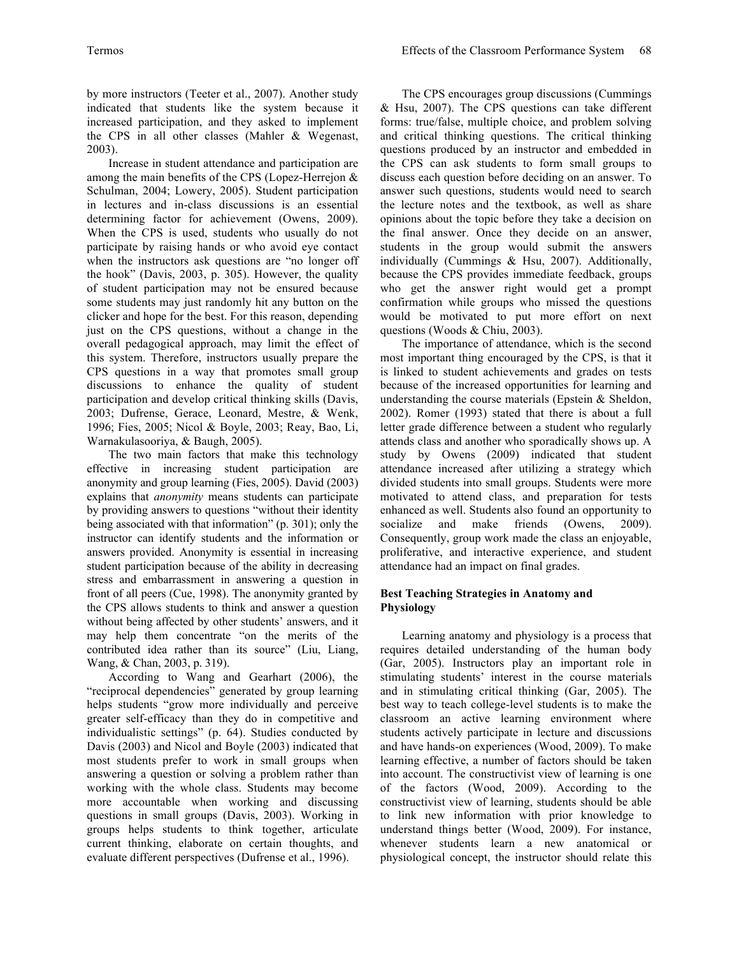by more instructors (Teeter et al., 2007). Another study indicated that students like the system because it increased participation, and they asked to implement the CPS in all other classes (Mahler & Wegenast, 2003).

Increase in student attendance and participation are among the main benefits of the CPS (Lopez-Herrejon & Schulman, 2004; Lowery, 2005). Student participation in lectures and in-class discussions is an essential determining factor for achievement (Owens, 2009). When the CPS is used, students who usually do not participate by raising hands or who avoid eye contact when the instructors ask questions are "no longer off the hook" (Davis, 2003, p. 305). However, the quality of student participation may not be ensured because some students may just randomly hit any button on the clicker and hope for the best. For this reason, depending just on the CPS questions, without a change in the overall pedagogical approach, may limit the effect of this system. Therefore, instructors usually prepare the CPS questions in a way that promotes small group discussions to enhance the quality of student participation and develop critical thinking skills (Davis, 2003; Dufrense, Gerace, Leonard, Mestre, & Wenk, 1996; Fies, 2005; Nicol & Boyle, 2003; Reay, Bao, Li, Warnakulasooriya, & Baugh, 2005).

The two main factors that make this technology effective in increasing student participation are anonymity and group learning (Fies, 2005). David (2003) explains that *anonymity* means students can participate by providing answers to questions "without their identity being associated with that information" (p. 301); only the instructor can identify students and the information or answers provided. Anonymity is essential in increasing student participation because of the ability in decreasing stress and embarrassment in answering a question in front of all peers (Cue, 1998). The anonymity granted by the CPS allows students to think and answer a question without being affected by other students' answers, and it may help them concentrate "on the merits of the contributed idea rather than its source" (Liu, Liang, Wang, & Chan, 2003, p. 319).

According to Wang and Gearhart (2006), the "reciprocal dependencies" generated by group learning helps students "grow more individually and perceive greater self-efficacy than they do in competitive and individualistic settings" (p. 64). Studies conducted by Davis (2003) and Nicol and Boyle (2003) indicated that most students prefer to work in small groups when answering a question or solving a problem rather than working with the whole class. Students may become more accountable when working and discussing questions in small groups (Davis, 2003). Working in groups helps students to think together, articulate current thinking, elaborate on certain thoughts, and evaluate different perspectives (Dufrense et al., 1996).

The CPS encourages group discussions (Cummings & Hsu, 2007). The CPS questions can take different forms: true/false, multiple choice, and problem solving and critical thinking questions. The critical thinking questions produced by an instructor and embedded in the CPS can ask students to form small groups to discuss each question before deciding on an answer. To answer such questions, students would need to search the lecture notes and the textbook, as well as share opinions about the topic before they take a decision on the final answer. Once they decide on an answer, students in the group would submit the answers individually (Cummings & Hsu, 2007). Additionally, because the CPS provides immediate feedback, groups who get the answer right would get a prompt confirmation while groups who missed the questions would be motivated to put more effort on next questions (Woods & Chiu, 2003).

The importance of attendance, which is the second most important thing encouraged by the CPS, is that it is linked to student achievements and grades on tests because of the increased opportunities for learning and understanding the course materials (Epstein & Sheldon, 2002). Romer (1993) stated that there is about a full letter grade difference between a student who regularly attends class and another who sporadically shows up. A study by Owens (2009) indicated that student attendance increased after utilizing a strategy which divided students into small groups. Students were more motivated to attend class, and preparation for tests enhanced as well. Students also found an opportunity to socialize and make friends (Owens, 2009). Consequently, group work made the class an enjoyable, proliferative, and interactive experience, and student attendance had an impact on final grades.

# **Best Teaching Strategies in Anatomy and Physiology**

Learning anatomy and physiology is a process that requires detailed understanding of the human body (Gar, 2005). Instructors play an important role in stimulating students' interest in the course materials and in stimulating critical thinking (Gar, 2005). The best way to teach college-level students is to make the classroom an active learning environment where students actively participate in lecture and discussions and have hands-on experiences (Wood, 2009). To make learning effective, a number of factors should be taken into account. The constructivist view of learning is one of the factors (Wood, 2009). According to the constructivist view of learning, students should be able to link new information with prior knowledge to understand things better (Wood, 2009). For instance, whenever students learn a new anatomical or physiological concept, the instructor should relate this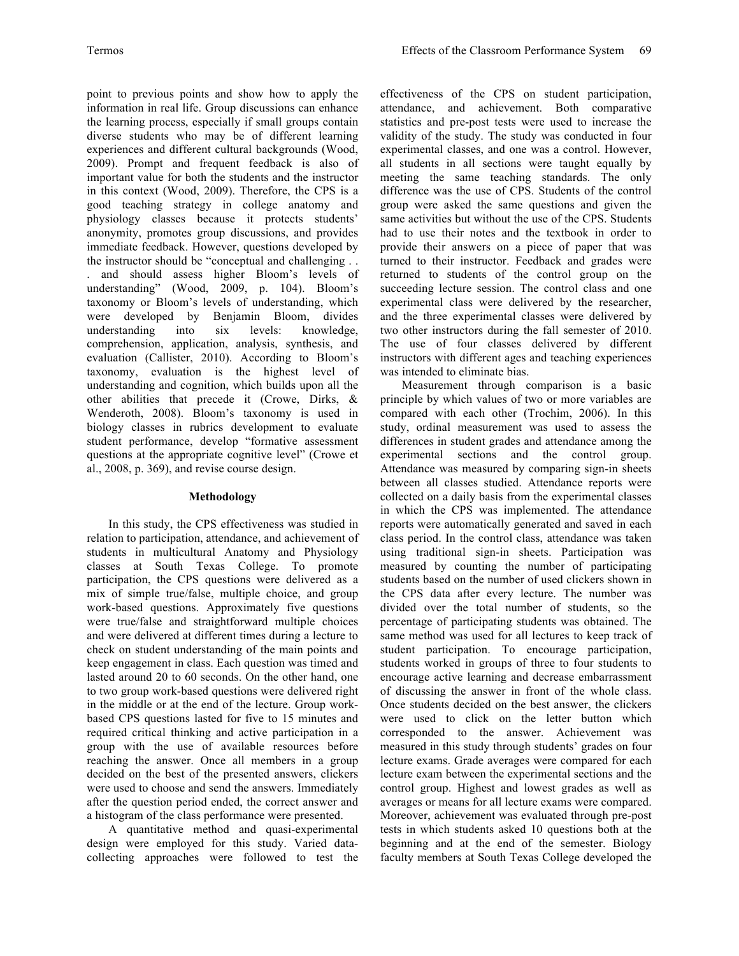point to previous points and show how to apply the information in real life. Group discussions can enhance the learning process, especially if small groups contain diverse students who may be of different learning experiences and different cultural backgrounds (Wood, 2009). Prompt and frequent feedback is also of important value for both the students and the instructor in this context (Wood, 2009). Therefore, the CPS is a good teaching strategy in college anatomy and physiology classes because it protects students' anonymity, promotes group discussions, and provides immediate feedback. However, questions developed by the instructor should be "conceptual and challenging . . . and should assess higher Bloom's levels of understanding" (Wood, 2009, p. 104). Bloom's taxonomy or Bloom's levels of understanding, which were developed by Benjamin Bloom, divides understanding into six levels: knowledge, comprehension, application, analysis, synthesis, and evaluation (Callister, 2010). According to Bloom's taxonomy, evaluation is the highest level of understanding and cognition, which builds upon all the other abilities that precede it (Crowe, Dirks, & Wenderoth, 2008). Bloom's taxonomy is used in biology classes in rubrics development to evaluate student performance, develop "formative assessment questions at the appropriate cognitive level" (Crowe et al., 2008, p. 369), and revise course design.

## **Methodology**

In this study, the CPS effectiveness was studied in relation to participation, attendance, and achievement of students in multicultural Anatomy and Physiology classes at South Texas College. To promote participation, the CPS questions were delivered as a mix of simple true/false, multiple choice, and group work-based questions. Approximately five questions were true/false and straightforward multiple choices and were delivered at different times during a lecture to check on student understanding of the main points and keep engagement in class. Each question was timed and lasted around 20 to 60 seconds. On the other hand, one to two group work-based questions were delivered right in the middle or at the end of the lecture. Group workbased CPS questions lasted for five to 15 minutes and required critical thinking and active participation in a group with the use of available resources before reaching the answer. Once all members in a group decided on the best of the presented answers, clickers were used to choose and send the answers. Immediately after the question period ended, the correct answer and a histogram of the class performance were presented.

A quantitative method and quasi-experimental design were employed for this study. Varied datacollecting approaches were followed to test the

effectiveness of the CPS on student participation, attendance, and achievement. Both comparative statistics and pre-post tests were used to increase the validity of the study. The study was conducted in four experimental classes, and one was a control. However, all students in all sections were taught equally by meeting the same teaching standards. The only difference was the use of CPS. Students of the control group were asked the same questions and given the same activities but without the use of the CPS. Students had to use their notes and the textbook in order to provide their answers on a piece of paper that was turned to their instructor. Feedback and grades were returned to students of the control group on the succeeding lecture session. The control class and one experimental class were delivered by the researcher, and the three experimental classes were delivered by two other instructors during the fall semester of 2010. The use of four classes delivered by different instructors with different ages and teaching experiences was intended to eliminate bias.

Measurement through comparison is a basic principle by which values of two or more variables are compared with each other (Trochim, 2006). In this study, ordinal measurement was used to assess the differences in student grades and attendance among the experimental sections and the control group. Attendance was measured by comparing sign-in sheets between all classes studied. Attendance reports were collected on a daily basis from the experimental classes in which the CPS was implemented. The attendance reports were automatically generated and saved in each class period. In the control class, attendance was taken using traditional sign-in sheets. Participation was measured by counting the number of participating students based on the number of used clickers shown in the CPS data after every lecture. The number was divided over the total number of students, so the percentage of participating students was obtained. The same method was used for all lectures to keep track of student participation. To encourage participation, students worked in groups of three to four students to encourage active learning and decrease embarrassment of discussing the answer in front of the whole class. Once students decided on the best answer, the clickers were used to click on the letter button which corresponded to the answer. Achievement was measured in this study through students' grades on four lecture exams. Grade averages were compared for each lecture exam between the experimental sections and the control group. Highest and lowest grades as well as averages or means for all lecture exams were compared. Moreover, achievement was evaluated through pre-post tests in which students asked 10 questions both at the beginning and at the end of the semester. Biology faculty members at South Texas College developed the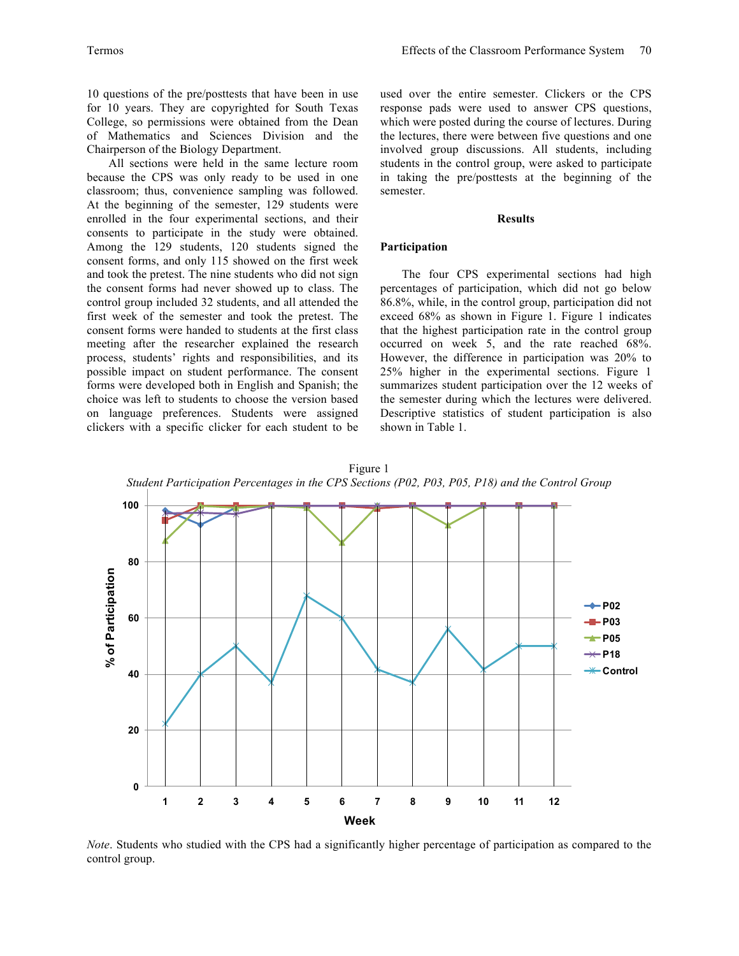10 questions of the pre/posttests that have been in use for 10 years. They are copyrighted for South Texas College, so permissions were obtained from the Dean of Mathematics and Sciences Division and the Chairperson of the Biology Department.

All sections were held in the same lecture room because the CPS was only ready to be used in one classroom; thus, convenience sampling was followed. At the beginning of the semester, 129 students were enrolled in the four experimental sections, and their consents to participate in the study were obtained. Among the 129 students, 120 students signed the consent forms, and only 115 showed on the first week and took the pretest. The nine students who did not sign the consent forms had never showed up to class. The control group included 32 students, and all attended the first week of the semester and took the pretest. The consent forms were handed to students at the first class meeting after the researcher explained the research process, students' rights and responsibilities, and its possible impact on student performance. The consent forms were developed both in English and Spanish; the choice was left to students to choose the version based on language preferences. Students were assigned clickers with a specific clicker for each student to be

used over the entire semester. Clickers or the CPS response pads were used to answer CPS questions, which were posted during the course of lectures. During the lectures, there were between five questions and one involved group discussions. All students, including students in the control group, were asked to participate in taking the pre/posttests at the beginning of the semester.

#### **Results**

#### **Participation**

The four CPS experimental sections had high percentages of participation, which did not go below 86.8%, while, in the control group, participation did not exceed 68% as shown in Figure 1. Figure 1 indicates that the highest participation rate in the control group occurred on week 5, and the rate reached 68%. However, the difference in participation was 20% to 25% higher in the experimental sections. Figure 1 summarizes student participation over the 12 weeks of the semester during which the lectures were delivered. Descriptive statistics of student participation is also shown in Table 1.



*Note*. Students who studied with the CPS had a significantly higher percentage of participation as compared to the control group.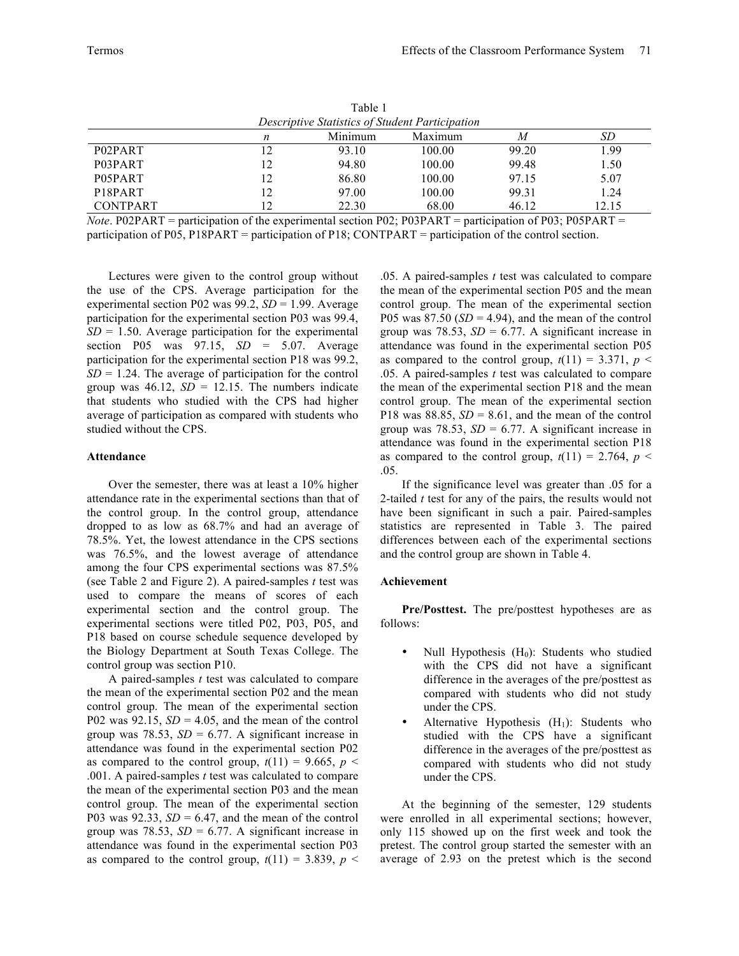|                                                 |    | Table 1 |         |       |       |  |
|-------------------------------------------------|----|---------|---------|-------|-------|--|
| Descriptive Statistics of Student Participation |    |         |         |       |       |  |
|                                                 | n  | Minimum | Maximum | M     | SD    |  |
| P02PART                                         |    | 93.10   | 100.00  | 99.20 | 1.99  |  |
| P03PART                                         | 12 | 94.80   | 100.00  | 99.48 | 1.50  |  |
| P05PART                                         | 12 | 86.80   | 100.00  | 97.15 | 5.07  |  |
| P <sub>18</sub> P <sub>ART</sub>                | 12 | 97.00   | 100.00  | 99.31 | 1.24  |  |
| <b>CONTPART</b>                                 | ာ  | 22.30   | 68.00   | 46.12 | 12.15 |  |

*Note*. P02PART = participation of the experimental section P02; P03PART = participation of P03; P05PART = participation of P05, P18PART = participation of P18; CONTPART = participation of the control section.

Lectures were given to the control group without the use of the CPS. Average participation for the experimental section P02 was 99.2, *SD* = 1.99. Average participation for the experimental section P03 was 99.4,  $SD = 1.50$ . Average participation for the experimental section P05 was 97.15, *SD* = 5.07. Average participation for the experimental section P18 was 99.2,  $SD = 1.24$ . The average of participation for the control group was  $46.12$ ,  $SD = 12.15$ . The numbers indicate that students who studied with the CPS had higher average of participation as compared with students who studied without the CPS.

### **Attendance**

Over the semester, there was at least a 10% higher attendance rate in the experimental sections than that of the control group. In the control group, attendance dropped to as low as 68.7% and had an average of 78.5%. Yet, the lowest attendance in the CPS sections was 76.5%, and the lowest average of attendance among the four CPS experimental sections was 87.5% (see Table 2 and Figure 2). A paired-samples *t* test was used to compare the means of scores of each experimental section and the control group. The experimental sections were titled P02, P03, P05, and P18 based on course schedule sequence developed by the Biology Department at South Texas College. The control group was section P10.

A paired-samples *t* test was calculated to compare the mean of the experimental section P02 and the mean control group. The mean of the experimental section P02 was  $92.15$ ,  $SD = 4.05$ , and the mean of the control group was 78.53,  $SD = 6.77$ . A significant increase in attendance was found in the experimental section P02 as compared to the control group,  $t(11) = 9.665$ ,  $p <$ .001. A paired-samples *t* test was calculated to compare the mean of the experimental section P03 and the mean control group. The mean of the experimental section P03 was 92.33,  $SD = 6.47$ , and the mean of the control group was 78.53,  $SD = 6.77$ . A significant increase in attendance was found in the experimental section P03 as compared to the control group,  $t(11) = 3.839$ ,  $p <$ 

.05. A paired-samples *t* test was calculated to compare the mean of the experimental section P05 and the mean control group. The mean of the experimental section P05 was  $87.50$  ( $SD = 4.94$ ), and the mean of the control group was 78.53,  $SD = 6.77$ . A significant increase in attendance was found in the experimental section P05 as compared to the control group,  $t(11) = 3.371$ ,  $p <$ .05. A paired-samples *t* test was calculated to compare the mean of the experimental section P18 and the mean control group. The mean of the experimental section P18 was 88.85,  $SD = 8.61$ , and the mean of the control group was 78.53,  $SD = 6.77$ . A significant increase in attendance was found in the experimental section P18 as compared to the control group,  $t(11) = 2.764$ ,  $p <$ .05.

If the significance level was greater than .05 for a 2-tailed *t* test for any of the pairs, the results would not have been significant in such a pair. Paired-samples statistics are represented in Table 3. The paired differences between each of the experimental sections and the control group are shown in Table 4.

#### **Achievement**

**Pre/Posttest.** The pre/posttest hypotheses are as follows:

- Null Hypothesis  $(H_0)$ : Students who studied with the CPS did not have a significant difference in the averages of the pre/posttest as compared with students who did not study under the CPS.
- Alternative Hypothesis  $(H_1)$ : Students who studied with the CPS have a significant difference in the averages of the pre/posttest as compared with students who did not study under the CPS.

At the beginning of the semester, 129 students were enrolled in all experimental sections; however, only 115 showed up on the first week and took the pretest. The control group started the semester with an average of 2.93 on the pretest which is the second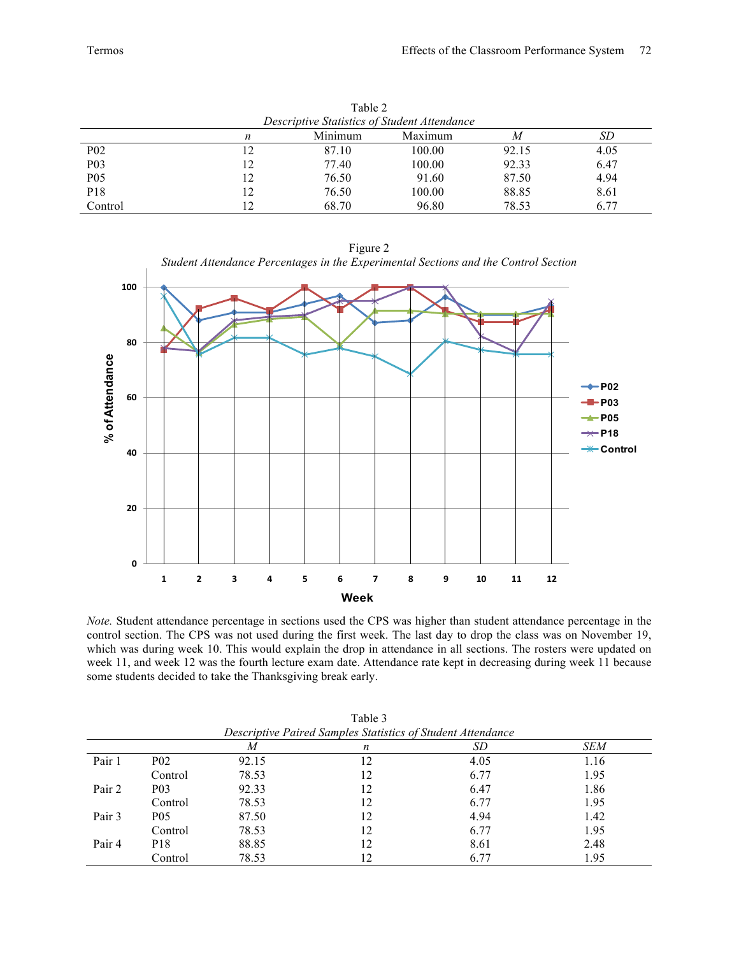| Table 2                                      |    |       |        |       |      |  |  |
|----------------------------------------------|----|-------|--------|-------|------|--|--|
| Descriptive Statistics of Student Attendance |    |       |        |       |      |  |  |
| Minimum<br>Maximum<br>SD<br>M<br>n           |    |       |        |       |      |  |  |
| <b>P02</b>                                   |    | 87.10 | 100.00 | 92.15 | 4.05 |  |  |
| P <sub>0</sub> 3                             | 12 | 77.40 | 100.00 | 92.33 | 6.47 |  |  |
| P <sub>05</sub>                              | 12 | 76.50 | 91.60  | 87.50 | 4.94 |  |  |
| P18                                          | 12 | 76.50 | 100.00 | 88.85 | 8.61 |  |  |
| Control                                      |    | 68.70 | 96.80  | 78.53 | 6.77 |  |  |

Figure 2

*Student Attendance Percentages in the Experimental Sections and the Control Section* **100 80** % of Attendance **% of Attendance**  $+P02$ **60 P03 P05**  $\rightarrow$ P18 **Control 40 20**

**0 1 2 3 4 5 6 7 8 9 10 11 12 Week** *Note.* Student attendance percentage in sections used the CPS was higher than student attendance percentage in the control section. The CPS was not used during the first week. The last day to drop the class was on November 19, which was during week 10. This would explain the drop in attendance in all sections. The rosters were updated on week 11, and week 12 was the fourth lecture exam date. Attendance rate kept in decreasing during week 11 because

some students decided to take the Thanksgiving break early.

|        | Descriptive I dired Samples Statistics of Stadent Attendance |       |    |      |            |  |  |
|--------|--------------------------------------------------------------|-------|----|------|------------|--|--|
|        |                                                              | M     | n  | SD   | <b>SEM</b> |  |  |
| Pair 1 | P <sub>0</sub> 2                                             | 92.15 |    | 4.05 | 1.16       |  |  |
|        | Control                                                      | 78.53 | 12 | 6.77 | 1.95       |  |  |
| Pair 2 | P <sub>0</sub> 3                                             | 92.33 | 12 | 6.47 | 1.86       |  |  |
|        | Control                                                      | 78.53 | 12 | 6.77 | 1.95       |  |  |
| Pair 3 | P05                                                          | 87.50 | 12 | 4.94 | 1.42       |  |  |
|        | Control                                                      | 78.53 | 12 | 6.77 | 1.95       |  |  |
| Pair 4 | P18                                                          | 88.85 | 12 | 8.61 | 2.48       |  |  |
|        | Control                                                      | 78.53 | 12 | 6.77 | 1.95       |  |  |

Table 3 *Descriptive Paired Samples Statistics of Student Attendance*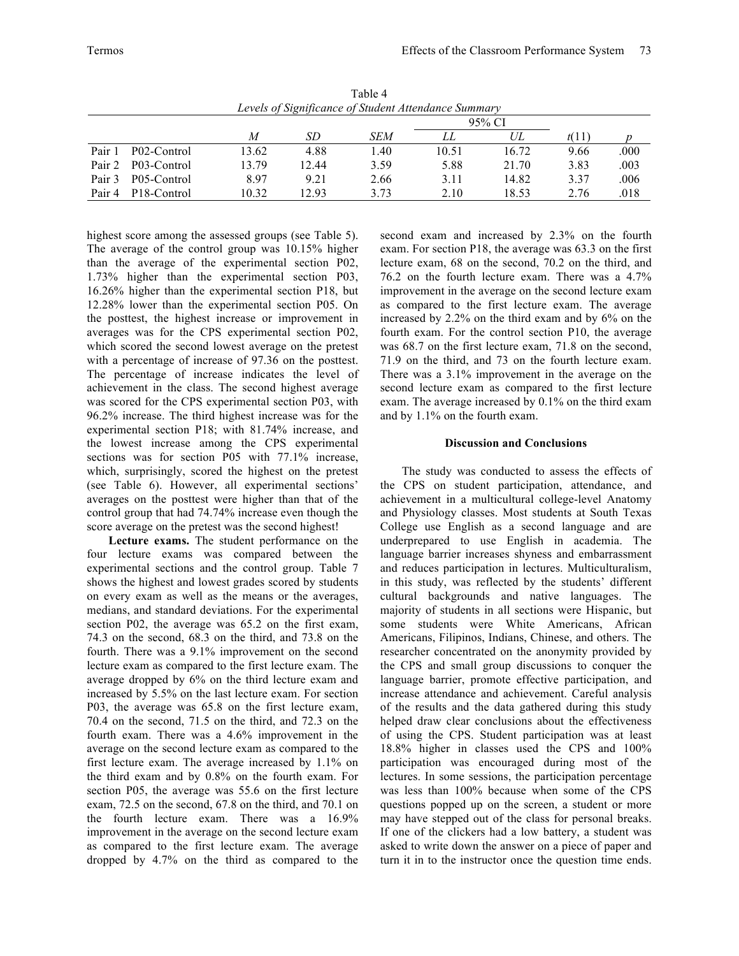|                                                      |                          |       |        | 1 adie 4   |       |       |       |      |
|------------------------------------------------------|--------------------------|-------|--------|------------|-------|-------|-------|------|
| Levels of Significance of Student Attendance Summary |                          |       |        |            |       |       |       |      |
|                                                      |                          |       | 95% CI |            |       |       |       |      |
|                                                      |                          | M     | SD.    | <b>SEM</b> | LL.   | UL    | t(11) |      |
| Pair 1                                               | P02-Control              | 13.62 | 4.88   | 1.40       | 10.51 | 16.72 | 9.66  | .000 |
| Pair 2                                               | P03-Control              | 13.79 | 12.44  | 3.59       | 5.88  | 21.70 | 3.83  | .003 |
| Pair 3                                               | P05-Control              | 8.97  | 9.21   | 2.66       | 3.11  | 14.82 | 3.37  | .006 |
| Pair 4                                               | P <sub>18</sub> -Control | 10.32 | 1293   | 3 73       | 2.10  | 18.53 | 2.76  | 018. |

 $T = 1.1 - 4$ 

highest score among the assessed groups (see Table 5). The average of the control group was 10.15% higher than the average of the experimental section P02, 1.73% higher than the experimental section P03, 16.26% higher than the experimental section P18, but 12.28% lower than the experimental section P05. On the posttest, the highest increase or improvement in averages was for the CPS experimental section P02, which scored the second lowest average on the pretest with a percentage of increase of 97.36 on the posttest. The percentage of increase indicates the level of achievement in the class. The second highest average was scored for the CPS experimental section P03, with 96.2% increase. The third highest increase was for the experimental section P18; with 81.74% increase, and the lowest increase among the CPS experimental sections was for section P05 with 77.1% increase, which, surprisingly, scored the highest on the pretest (see Table 6). However, all experimental sections' averages on the posttest were higher than that of the control group that had 74.74% increase even though the score average on the pretest was the second highest!

**Lecture exams.** The student performance on the four lecture exams was compared between the experimental sections and the control group. Table 7 shows the highest and lowest grades scored by students on every exam as well as the means or the averages, medians, and standard deviations. For the experimental section P02, the average was 65.2 on the first exam, 74.3 on the second, 68.3 on the third, and 73.8 on the fourth. There was a 9.1% improvement on the second lecture exam as compared to the first lecture exam. The average dropped by 6% on the third lecture exam and increased by 5.5% on the last lecture exam. For section P03, the average was 65.8 on the first lecture exam, 70.4 on the second, 71.5 on the third, and 72.3 on the fourth exam. There was a 4.6% improvement in the average on the second lecture exam as compared to the first lecture exam. The average increased by 1.1% on the third exam and by 0.8% on the fourth exam. For section P05, the average was 55.6 on the first lecture exam, 72.5 on the second, 67.8 on the third, and 70.1 on the fourth lecture exam. There was a 16.9% improvement in the average on the second lecture exam as compared to the first lecture exam. The average dropped by 4.7% on the third as compared to the

second exam and increased by 2.3% on the fourth exam. For section P18, the average was 63.3 on the first lecture exam, 68 on the second, 70.2 on the third, and 76.2 on the fourth lecture exam. There was a 4.7% improvement in the average on the second lecture exam as compared to the first lecture exam. The average increased by 2.2% on the third exam and by 6% on the fourth exam. For the control section P10, the average was 68.7 on the first lecture exam, 71.8 on the second, 71.9 on the third, and 73 on the fourth lecture exam. There was a 3.1% improvement in the average on the second lecture exam as compared to the first lecture exam. The average increased by 0.1% on the third exam and by 1.1% on the fourth exam.

## **Discussion and Conclusions**

The study was conducted to assess the effects of the CPS on student participation, attendance, and achievement in a multicultural college-level Anatomy and Physiology classes. Most students at South Texas College use English as a second language and are underprepared to use English in academia. The language barrier increases shyness and embarrassment and reduces participation in lectures. Multiculturalism, in this study, was reflected by the students' different cultural backgrounds and native languages. The majority of students in all sections were Hispanic, but some students were White Americans, African Americans, Filipinos, Indians, Chinese, and others. The researcher concentrated on the anonymity provided by the CPS and small group discussions to conquer the language barrier, promote effective participation, and increase attendance and achievement. Careful analysis of the results and the data gathered during this study helped draw clear conclusions about the effectiveness of using the CPS. Student participation was at least 18.8% higher in classes used the CPS and 100% participation was encouraged during most of the lectures. In some sessions, the participation percentage was less than 100% because when some of the CPS questions popped up on the screen, a student or more may have stepped out of the class for personal breaks. If one of the clickers had a low battery, a student was asked to write down the answer on a piece of paper and turn it in to the instructor once the question time ends.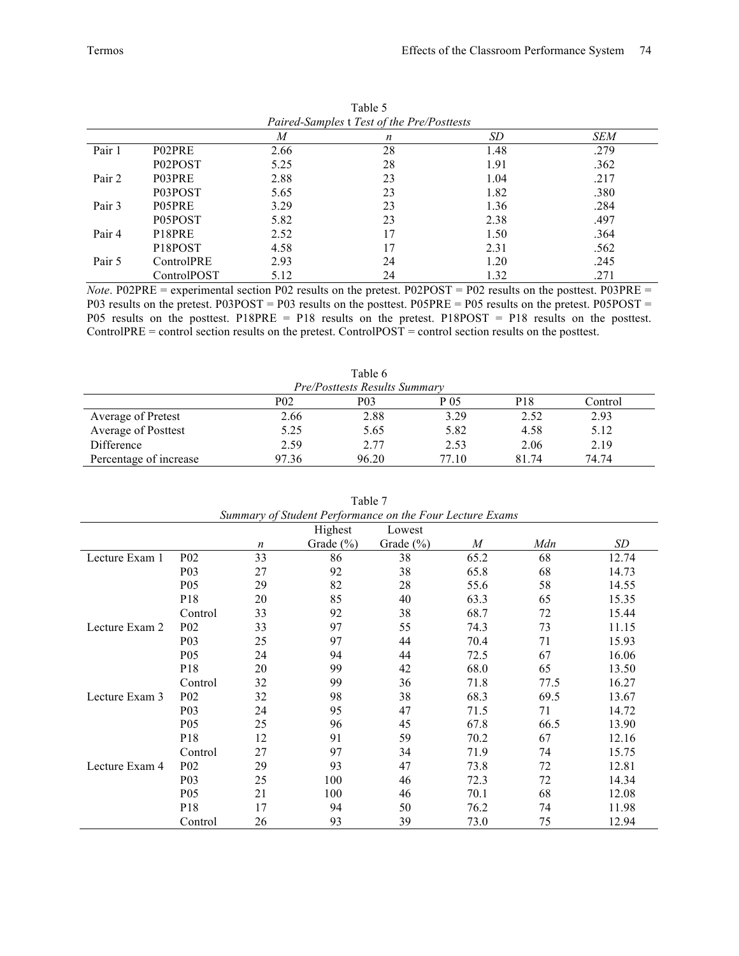|        | Paired-Samples t Test of the Pre/Posttests |      |    |      |      |  |  |
|--------|--------------------------------------------|------|----|------|------|--|--|
|        |                                            | M    | n  | SD   | SEM  |  |  |
| Pair 1 | P02PRE                                     | 2.66 | 28 | 1.48 | .279 |  |  |
|        | P02POST                                    | 5.25 | 28 | 1.91 | .362 |  |  |
| Pair 2 | P03PRE                                     | 2.88 | 23 | 1.04 | .217 |  |  |
|        | P03POST                                    | 5.65 | 23 | 1.82 | .380 |  |  |
| Pair 3 | P05PRE                                     | 3.29 | 23 | 1.36 | .284 |  |  |
|        | P05POST                                    | 5.82 | 23 | 2.38 | .497 |  |  |
| Pair 4 | P18PRE                                     | 2.52 | 17 | 1.50 | .364 |  |  |
|        | P <sub>18</sub> POST                       | 4.58 | 17 | 2.31 | .562 |  |  |
| Pair 5 | ControlPRE                                 | 2.93 | 24 | 1.20 | .245 |  |  |
|        | ControlPOST                                | 5.12 | 24 | l.32 | .271 |  |  |

Table 5

*Note*. P02PRE = experimental section P02 results on the pretest. P02POST = P02 results on the posttest. P03PRE = P03 results on the pretest. P03POST = P03 results on the posttest. P05PRE = P05 results on the pretest. P05POST = P05 results on the posttest. P18PRE = P18 results on the pretest. P18POST = P18 results on the posttest. ControlPRE = control section results on the pretest. ControlPOST = control section results on the posttest.

|                                      |       | Table 6          |       |                 |         |  |  |
|--------------------------------------|-------|------------------|-------|-----------------|---------|--|--|
| <b>Pre/Posttests Results Summary</b> |       |                  |       |                 |         |  |  |
|                                      | P02   | P <sub>0</sub> 3 | P 05  | P <sub>18</sub> | Control |  |  |
| Average of Pretest                   | 2.66  | 2.88             | 3.29  | 2.52            | 2.93    |  |  |
| Average of Posttest                  | 5.25  | 5.65             | 5.82  | 4.58            | 5.12    |  |  |
| Difference                           | 2.59  | 2.77             | 2.53  | 2.06            | 2.19    |  |  |
| Percentage of increase               | 97.36 | 96.20            | 77.10 | 81.74           | 74.74   |  |  |

| Summary of Student Performance on the Four Lecture Exams |                   |                  |               |               |      |      |       |
|----------------------------------------------------------|-------------------|------------------|---------------|---------------|------|------|-------|
|                                                          | Highest<br>Lowest |                  |               |               |      |      |       |
|                                                          |                   | $\boldsymbol{n}$ | Grade $(\% )$ | Grade $(\% )$ | M    | Mdn  | SD    |
| Lecture Exam 1                                           | P <sub>02</sub>   | 33               | 86            | 38            | 65.2 | 68   | 12.74 |
|                                                          | P <sub>0</sub> 3  | 27               | 92            | 38            | 65.8 | 68   | 14.73 |
|                                                          | P <sub>05</sub>   | 29               | 82            | 28            | 55.6 | 58   | 14.55 |
|                                                          | P <sub>18</sub>   | 20               | 85            | 40            | 63.3 | 65   | 15.35 |
|                                                          | Control           | 33               | 92            | 38            | 68.7 | 72   | 15.44 |
| Lecture Exam 2                                           | P <sub>02</sub>   | 33               | 97            | 55            | 74.3 | 73   | 11.15 |
|                                                          | P <sub>0</sub> 3  | 25               | 97            | 44            | 70.4 | 71   | 15.93 |
|                                                          | P <sub>05</sub>   | 24               | 94            | 44            | 72.5 | 67   | 16.06 |
|                                                          | P <sub>18</sub>   | 20               | 99            | 42            | 68.0 | 65   | 13.50 |
|                                                          | Control           | 32               | 99            | 36            | 71.8 | 77.5 | 16.27 |
| Lecture Exam 3                                           | P <sub>0</sub> 2  | 32               | 98            | 38            | 68.3 | 69.5 | 13.67 |
|                                                          | P <sub>0</sub> 3  | 24               | 95            | 47            | 71.5 | 71   | 14.72 |
|                                                          | P <sub>05</sub>   | 25               | 96            | 45            | 67.8 | 66.5 | 13.90 |
|                                                          | P <sub>18</sub>   | 12               | 91            | 59            | 70.2 | 67   | 12.16 |
|                                                          | Control           | 27               | 97            | 34            | 71.9 | 74   | 15.75 |
| Lecture Exam 4                                           | P <sub>0</sub> 2  | 29               | 93            | 47            | 73.8 | 72   | 12.81 |
|                                                          | P <sub>0</sub> 3  | 25               | 100           | 46            | 72.3 | 72   | 14.34 |
|                                                          | P <sub>05</sub>   | 21               | 100           | 46            | 70.1 | 68   | 12.08 |
|                                                          | P <sub>18</sub>   | 17               | 94            | 50            | 76.2 | 74   | 11.98 |
|                                                          | Control           | 26               | 93            | 39            | 73.0 | 75   | 12.94 |

Table 7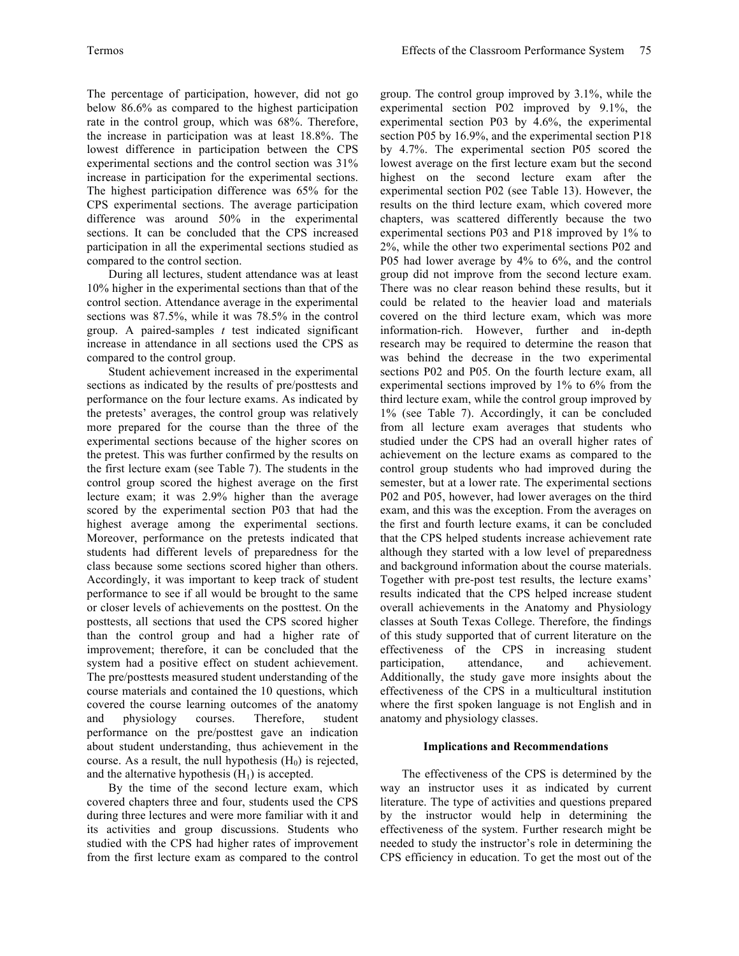The percentage of participation, however, did not go below 86.6% as compared to the highest participation rate in the control group, which was 68%. Therefore, the increase in participation was at least 18.8%. The lowest difference in participation between the CPS experimental sections and the control section was 31% increase in participation for the experimental sections. The highest participation difference was 65% for the CPS experimental sections. The average participation difference was around 50% in the experimental sections. It can be concluded that the CPS increased participation in all the experimental sections studied as compared to the control section.

During all lectures, student attendance was at least 10% higher in the experimental sections than that of the control section. Attendance average in the experimental sections was 87.5%, while it was 78.5% in the control group. A paired-samples *t* test indicated significant increase in attendance in all sections used the CPS as compared to the control group.

Student achievement increased in the experimental sections as indicated by the results of pre/posttests and performance on the four lecture exams. As indicated by the pretests' averages, the control group was relatively more prepared for the course than the three of the experimental sections because of the higher scores on the pretest. This was further confirmed by the results on the first lecture exam (see Table 7). The students in the control group scored the highest average on the first lecture exam; it was 2.9% higher than the average scored by the experimental section P03 that had the highest average among the experimental sections. Moreover, performance on the pretests indicated that students had different levels of preparedness for the class because some sections scored higher than others. Accordingly, it was important to keep track of student performance to see if all would be brought to the same or closer levels of achievements on the posttest. On the posttests, all sections that used the CPS scored higher than the control group and had a higher rate of improvement; therefore, it can be concluded that the system had a positive effect on student achievement. The pre/posttests measured student understanding of the course materials and contained the 10 questions, which covered the course learning outcomes of the anatomy and physiology courses. Therefore, student performance on the pre/posttest gave an indication about student understanding, thus achievement in the course. As a result, the null hypothesis  $(H_0)$  is rejected, and the alternative hypothesis  $(H_1)$  is accepted.

By the time of the second lecture exam, which covered chapters three and four, students used the CPS during three lectures and were more familiar with it and its activities and group discussions. Students who studied with the CPS had higher rates of improvement from the first lecture exam as compared to the control

group. The control group improved by 3.1%, while the experimental section P02 improved by 9.1%, the experimental section P03 by 4.6%, the experimental section P05 by 16.9%, and the experimental section P18 by 4.7%. The experimental section P05 scored the lowest average on the first lecture exam but the second highest on the second lecture exam after the experimental section P02 (see Table 13). However, the results on the third lecture exam, which covered more chapters, was scattered differently because the two experimental sections P03 and P18 improved by 1% to 2%, while the other two experimental sections P02 and P05 had lower average by 4% to 6%, and the control group did not improve from the second lecture exam. There was no clear reason behind these results, but it could be related to the heavier load and materials covered on the third lecture exam, which was more information-rich. However, further and in-depth research may be required to determine the reason that was behind the decrease in the two experimental sections P02 and P05. On the fourth lecture exam, all experimental sections improved by 1% to 6% from the third lecture exam, while the control group improved by 1% (see Table 7). Accordingly, it can be concluded from all lecture exam averages that students who studied under the CPS had an overall higher rates of achievement on the lecture exams as compared to the control group students who had improved during the semester, but at a lower rate. The experimental sections P02 and P05, however, had lower averages on the third exam, and this was the exception. From the averages on the first and fourth lecture exams, it can be concluded that the CPS helped students increase achievement rate although they started with a low level of preparedness and background information about the course materials. Together with pre-post test results, the lecture exams' results indicated that the CPS helped increase student overall achievements in the Anatomy and Physiology classes at South Texas College. Therefore, the findings of this study supported that of current literature on the effectiveness of the CPS in increasing student participation, attendance, and achievement. Additionally, the study gave more insights about the effectiveness of the CPS in a multicultural institution where the first spoken language is not English and in anatomy and physiology classes.

#### **Implications and Recommendations**

The effectiveness of the CPS is determined by the way an instructor uses it as indicated by current literature. The type of activities and questions prepared by the instructor would help in determining the effectiveness of the system. Further research might be needed to study the instructor's role in determining the CPS efficiency in education. To get the most out of the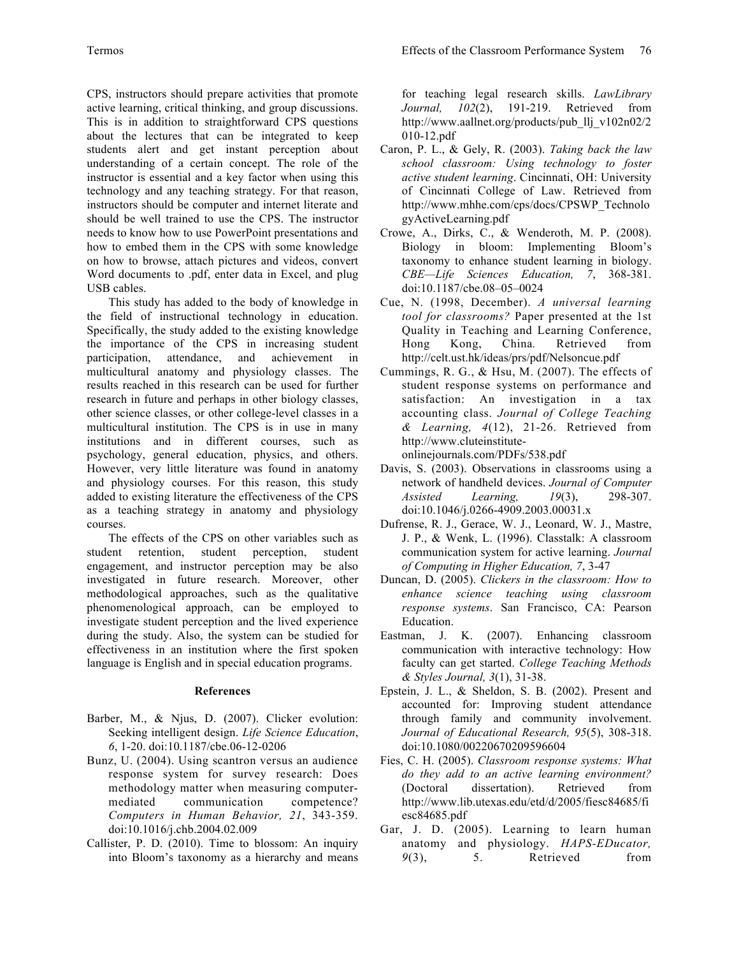CPS, instructors should prepare activities that promote active learning, critical thinking, and group discussions. This is in addition to straightforward CPS questions about the lectures that can be integrated to keep students alert and get instant perception about understanding of a certain concept. The role of the instructor is essential and a key factor when using this technology and any teaching strategy. For that reason, instructors should be computer and internet literate and should be well trained to use the CPS. The instructor needs to know how to use PowerPoint presentations and how to embed them in the CPS with some knowledge on how to browse, attach pictures and videos, convert Word documents to .pdf, enter data in Excel, and plug USB cables.

This study has added to the body of knowledge in the field of instructional technology in education. Specifically, the study added to the existing knowledge the importance of the CPS in increasing student participation, attendance, and achievement in multicultural anatomy and physiology classes. The results reached in this research can be used for further research in future and perhaps in other biology classes, other science classes, or other college-level classes in a multicultural institution. The CPS is in use in many institutions and in different courses, such as psychology, general education, physics, and others. However, very little literature was found in anatomy and physiology courses. For this reason, this study added to existing literature the effectiveness of the CPS as a teaching strategy in anatomy and physiology courses.

The effects of the CPS on other variables such as student retention, student perception, student engagement, and instructor perception may be also investigated in future research. Moreover, other methodological approaches, such as the qualitative phenomenological approach, can be employed to investigate student perception and the lived experience during the study. Also, the system can be studied for effectiveness in an institution where the first spoken language is English and in special education programs.

## **References**

- Barber, M., & Njus, D. (2007). Clicker evolution: Seeking intelligent design. *Life Science Education*, *6*, 1-20. doi:10.1187/cbe.06-12-0206
- Bunz, U. (2004). Using scantron versus an audience response system for survey research: Does methodology matter when measuring computermediated communication competence? *Computers in Human Behavior, 21*, 343-359. doi:10.1016/j.chb.2004.02.009
- Callister, P. D. (2010). Time to blossom: An inquiry into Bloom's taxonomy as a hierarchy and means

for teaching legal research skills. *LawLibrary Journal, 102*(2), 191-219. Retrieved from http://www.aallnet.org/products/pub\_llj\_v102n02/2 010-12.pdf

- Caron, P. L., & Gely, R. (2003). *Taking back the law school classroom: Using technology to foster active student learning*. Cincinnati, OH: University of Cincinnati College of Law. Retrieved from http://www.mhhe.com/cps/docs/CPSWP\_Technolo gyActiveLearning.pdf
- Crowe, A., Dirks, C., & Wenderoth, M. P. (2008). Biology in bloom: Implementing Bloom's taxonomy to enhance student learning in biology. *CBE—Life Sciences Education, 7*, 368-381. doi:10.1187/cbe.08–05–0024
- Cue, N. (1998, December). *A universal learning tool for classrooms?* Paper presented at the 1st Quality in Teaching and Learning Conference, Hong Kong, China*.* Retrieved from http://celt.ust.hk/ideas/prs/pdf/Nelsoncue.pdf
- Cummings, R. G., & Hsu, M. (2007). The effects of student response systems on performance and satisfaction: An investigation in a tax accounting class. *Journal of College Teaching & Learning, 4*(12), 21-26. Retrieved from http://www.cluteinstitute-
- onlinejournals.com/PDFs/538.pdf Davis, S. (2003). Observations in classrooms using a
- network of handheld devices. *Journal of Computer Assisted Learning, 19*(3), 298-307. doi:10.1046/j.0266-4909.2003.00031.x
- Dufrense, R. J., Gerace, W. J., Leonard, W. J., Mastre, J. P., & Wenk, L. (1996). Classtalk: A classroom communication system for active learning. *Journal of Computing in Higher Education, 7*, 3-47
- Duncan, D. (2005). *Clickers in the classroom: How to enhance science teaching using classroom response systems*. San Francisco, CA: Pearson Education.
- Eastman, J. K. (2007). Enhancing classroom communication with interactive technology: How faculty can get started. *College Teaching Methods & Styles Journal, 3*(1), 31-38.
- Epstein, J. L., & Sheldon, S. B. (2002). Present and accounted for: Improving student attendance through family and community involvement. *Journal of Educational Research, 95*(5), 308-318. doi:10.1080/00220670209596604
- Fies, C. H. (2005). *Classroom response systems: What do they add to an active learning environment?*  (Doctoral dissertation). Retrieved from http://www.lib.utexas.edu/etd/d/2005/fiesc84685/fi esc84685.pdf
- Gar, J. D. (2005). Learning to learn human anatomy and physiology. *HAPS-EDucator,*  9(3), 5. Retrieved from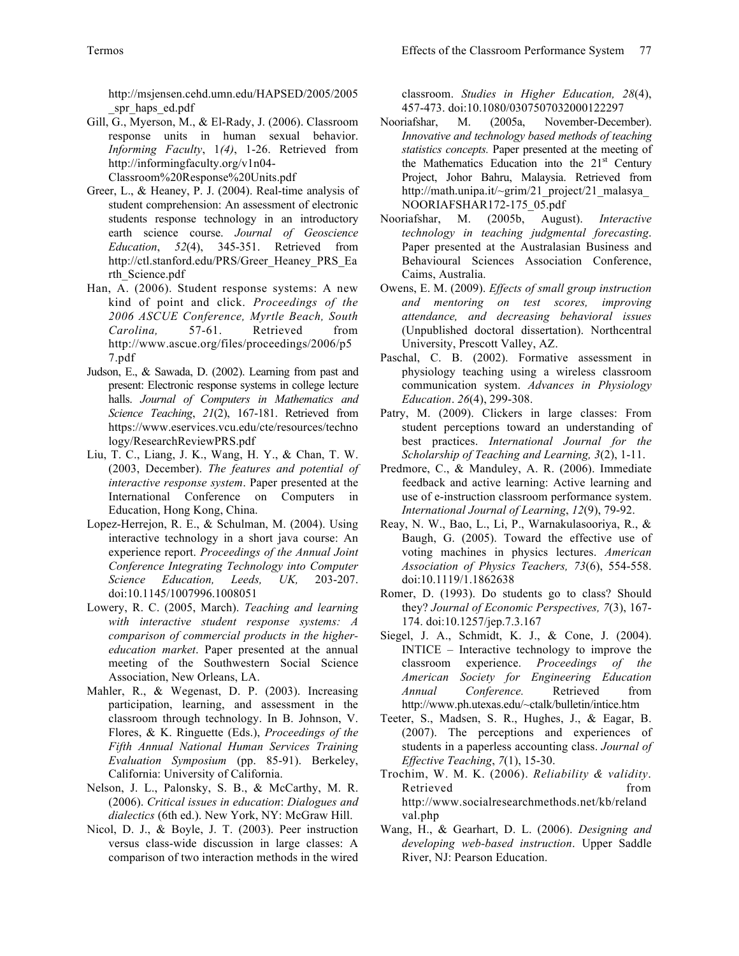http://msjensen.cehd.umn.edu/HAPSED/2005/2005 spr\_haps\_ed.pdf

- Gill, G., Myerson, M., & El-Rady, J. (2006). Classroom response units in human sexual behavior. *Informing Faculty*, 1*(4)*, 1-26. Retrieved from http://informingfaculty.org/v1n04- Classroom%20Response%20Units.pdf
- Greer, L., & Heaney, P. J. (2004). Real-time analysis of student comprehension: An assessment of electronic students response technology in an introductory earth science course. *Journal of Geoscience Education*, *52*(4), 345-351. Retrieved from http://ctl.stanford.edu/PRS/Greer\_Heaney\_PRS\_Ea rth\_Science.pdf
- Han, A. (2006). Student response systems: A new kind of point and click. *Proceedings of the 2006 ASCUE Conference, Myrtle Beach, South Carolina,* 57-61. Retrieved from http://www.ascue.org/files/proceedings/2006/p5 7.pdf
- Judson, E., & Sawada, D. (2002). Learning from past and present: Electronic response systems in college lecture halls. *Journal of Computers in Mathematics and Science Teaching*, *21*(2), 167-181. Retrieved from https://www.eservices.vcu.edu/cte/resources/techno logy/ResearchReviewPRS.pdf
- Liu, T. C., Liang, J. K., Wang, H. Y., & Chan, T. W. (2003, December). *The features and potential of interactive response system*. Paper presented at the International Conference on Computers in Education, Hong Kong, China.
- Lopez-Herrejon, R. E., & Schulman, M. (2004). Using interactive technology in a short java course: An experience report. *Proceedings of the Annual Joint Conference Integrating Technology into Computer Science Education, Leeds, UK,* 203-207. doi:10.1145/1007996.1008051
- Lowery, R. C. (2005, March). *Teaching and learning with interactive student response systems: A comparison of commercial products in the highereducation market*. Paper presented at the annual meeting of the Southwestern Social Science Association, New Orleans, LA.
- Mahler, R., & Wegenast, D. P. (2003). Increasing participation, learning, and assessment in the classroom through technology. In B. Johnson, V. Flores, & K. Ringuette (Eds.), *Proceedings of the Fifth Annual National Human Services Training Evaluation Symposium* (pp. 85-91). Berkeley, California: University of California.
- Nelson, J. L., Palonsky, S. B., & McCarthy, M. R. (2006). *Critical issues in education*: *Dialogues and dialectics* (6th ed.). New York, NY: McGraw Hill.
- Nicol, D. J., & Boyle, J. T. (2003). Peer instruction versus class-wide discussion in large classes: A comparison of two interaction methods in the wired

classroom. *Studies in Higher Education, 28*(4), 457-473. doi:10.1080/0307507032000122297

- Nooriafshar, M. (2005a, November-December). *Innovative and technology based methods of teaching statistics concepts.* Paper presented at the meeting of the Mathematics Education into the  $21<sup>st</sup>$  Century Project, Johor Bahru, Malaysia. Retrieved from http://math.unipa.it/~grim/21\_project/21\_malasya NOORIAFSHAR172-175\_05.pdf
- Nooriafshar, M. (2005b, August). *Interactive technology in teaching judgmental forecasting*. Paper presented at the Australasian Business and Behavioural Sciences Association Conference, Caims, Australia.
- Owens, E. M. (2009). *Effects of small group instruction and mentoring on test scores, improving attendance, and decreasing behavioral issues*  (Unpublished doctoral dissertation). Northcentral University, Prescott Valley, AZ.
- Paschal, C. B. (2002). Formative assessment in physiology teaching using a wireless classroom communication system. *Advances in Physiology Education*. *26*(4), 299-308.
- Patry, M. (2009). Clickers in large classes: From student perceptions toward an understanding of best practices. *International Journal for the Scholarship of Teaching and Learning, 3*(2), 1-11.
- Predmore, C., & Manduley, A. R. (2006). Immediate feedback and active learning: Active learning and use of e-instruction classroom performance system. *International Journal of Learning*, *12*(9), 79-92.
- Reay, N. W., Bao, L., Li, P., Warnakulasooriya, R., & Baugh, G. (2005). Toward the effective use of voting machines in physics lectures. *American Association of Physics Teachers, 73*(6), 554-558. doi:10.1119/1.1862638
- Romer, D. (1993). Do students go to class? Should they? *Journal of Economic Perspectives, 7*(3), 167- 174. doi:10.1257/jep.7.3.167
- Siegel, J. A., Schmidt, K. J., & Cone, J. (2004). INTICE – Interactive technology to improve the classroom experience. *Proceedings of the American Society for Engineering Education Annual Conference.* Retrieved from http://www.ph.utexas.edu/~ctalk/bulletin/intice.htm
- Teeter, S., Madsen, S. R., Hughes, J., & Eagar, B. (2007). The perceptions and experiences of students in a paperless accounting class. *Journal of Effective Teaching*, *7*(1), 15-30.
- Trochim, W. M. K. (2006). *Reliability & validity*. Retrieved from from http://www.socialresearchmethods.net/kb/reland val.php
- Wang, H., & Gearhart, D. L. (2006). *Designing and developing web-based instruction*. Upper Saddle River, NJ: Pearson Education.